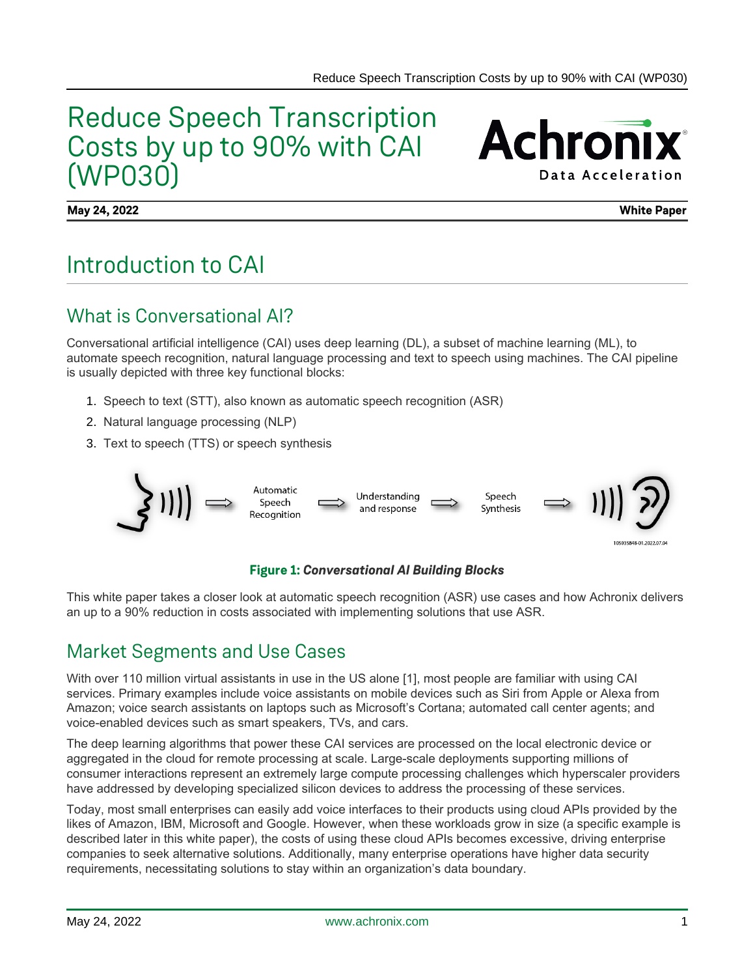# Reduce Speech Transcription Costs by up to 90% with CAI (WP030)

**Achronix Data Acceleration** 

**May 24, 2022 White Paper**

# Introduction to CAI

### What is Conversational AI?

Conversational artificial intelligence (CAI) uses deep learning (DL), a subset of machine learning (ML), to automate speech recognition, natural language processing and text to speech using machines. The CAI pipeline is usually depicted with three key functional blocks:

- 1. Speech to text (STT), also known as automatic speech recognition (ASR)
- 2. Natural language processing (NLP)
- 3. Text to speech (TTS) or speech synthesis



#### **Figure 1:** *Conversational AI Building Blocks*

This white paper takes a closer look at automatic speech recognition (ASR) use cases and how Achronix delivers an up to a 90% reduction in costs associated with implementing solutions that use ASR.

#### Market Segments and Use Cases

With over 110 million virtual assistants in use in the US alone [1], most people are familiar with using CAI services. Primary examples include voice assistants on mobile devices such as Siri from Apple or Alexa from Amazon; voice search assistants on laptops such as Microsoft's Cortana; automated call center agents; and voice-enabled devices such as smart speakers, TVs, and cars.

The deep learning algorithms that power these CAI services are processed on the local electronic device or aggregated in the cloud for remote processing at scale. Large-scale deployments supporting millions of consumer interactions represent an extremely large compute processing challenges which hyperscaler providers have addressed by developing specialized silicon devices to address the processing of these services.

Today, most small enterprises can easily add voice interfaces to their products using cloud APIs provided by the likes of Amazon, IBM, Microsoft and Google. However, when these workloads grow in size (a specific example is described later in this white paper), the costs of using these cloud APIs becomes excessive, driving enterprise companies to seek alternative solutions. Additionally, many enterprise operations have higher data security requirements, necessitating solutions to stay within an organization's data boundary.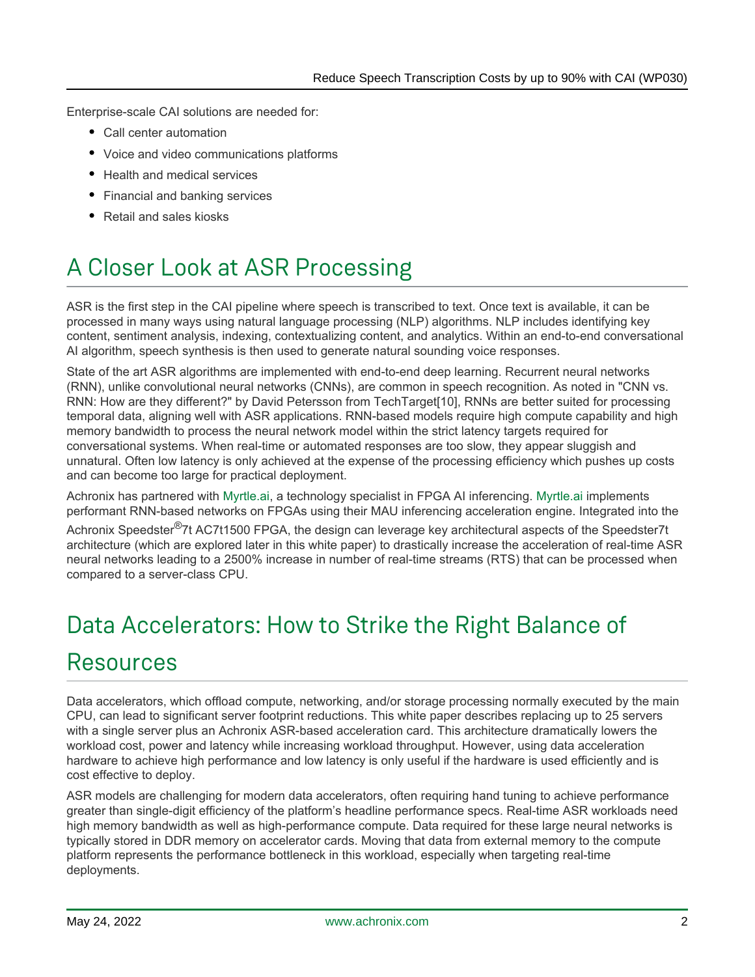Enterprise-scale CAI solutions are needed for:

- Call center automation
- Voice and video communications platforms
- Health and medical services
- Financial and banking services
- Retail and sales kiosks

# A Closer Look at ASR Processing

ASR is the first step in the CAI pipeline where speech is transcribed to text. Once text is available, it can be processed in many ways using natural language processing (NLP) algorithms. NLP includes identifying key content, sentiment analysis, indexing, contextualizing content, and analytics. Within an end-to-end conversational AI algorithm, speech synthesis is then used to generate natural sounding voice responses.

State of the art ASR algorithms are implemented with end-to-end deep learning. Recurrent neural networks (RNN), unlike convolutional neural networks (CNNs), are common in speech recognition. As noted in "CNN vs. RNN: How are they different?" by David Petersson from TechTarget[10], RNNs are better suited for processing temporal data, aligning well with ASR applications. RNN-based models require high compute capability and high memory bandwidth to process the neural network model within the strict latency targets required for conversational systems. When real-time or automated responses are too slow, they appear sluggish and unnatural. Often low latency is only achieved at the expense of the processing efficiency which pushes up costs and can become too large for practical deployment.

Achronix has partnered with [Myrtle.ai,](http://Myrtle.ai) a technology specialist in FPGA AI inferencing. [Myrtle.ai](http://Myrtle.ai) implements performant RNN-based networks on FPGAs using their MAU inferencing acceleration engine. Integrated into the

Achronix Speedster<sup>®</sup>7t AC7t1500 FPGA, the design can leverage key architectural aspects of the Speedster7t architecture (which are explored later in this white paper) to drastically increase the acceleration of real-time ASR neural networks leading to a 2500% increase in number of real-time streams (RTS) that can be processed when compared to a server-class CPU.

# Data Accelerators: How to Strike the Right Balance of Resources

Data accelerators, which offload compute, networking, and/or storage processing normally executed by the main CPU, can lead to significant server footprint reductions. This white paper describes replacing up to 25 servers with a single server plus an Achronix ASR-based acceleration card. This architecture dramatically lowers the workload cost, power and latency while increasing workload throughput. However, using data acceleration hardware to achieve high performance and low latency is only useful if the hardware is used efficiently and is cost effective to deploy.

ASR models are challenging for modern data accelerators, often requiring hand tuning to achieve performance greater than single-digit efficiency of the platform's headline performance specs. Real-time ASR workloads need high memory bandwidth as well as high-performance compute. Data required for these large neural networks is typically stored in DDR memory on accelerator cards. Moving that data from external memory to the compute platform represents the performance bottleneck in this workload, especially when targeting real-time deployments.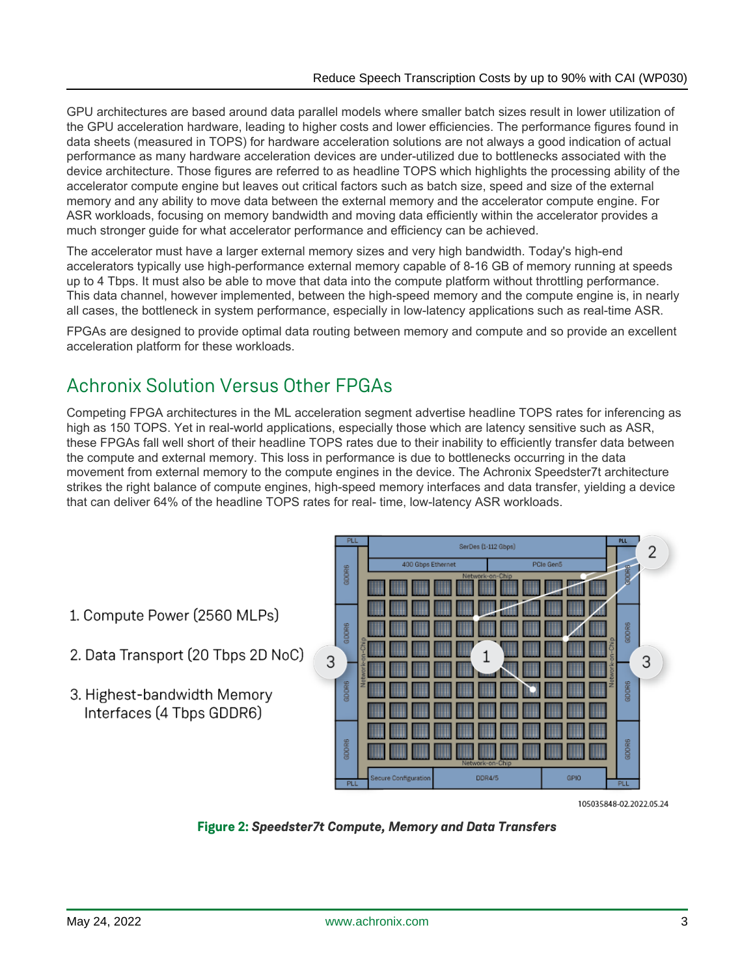GPU architectures are based around data parallel models where smaller batch sizes result in lower utilization of the GPU acceleration hardware, leading to higher costs and lower efficiencies. The performance figures found in data sheets (measured in TOPS) for hardware acceleration solutions are not always a good indication of actual performance as many hardware acceleration devices are under-utilized due to bottlenecks associated with the device architecture. Those figures are referred to as headline TOPS which highlights the processing ability of the accelerator compute engine but leaves out critical factors such as batch size, speed and size of the external memory and any ability to move data between the external memory and the accelerator compute engine. For ASR workloads, focusing on memory bandwidth and moving data efficiently within the accelerator provides a much stronger guide for what accelerator performance and efficiency can be achieved.

The accelerator must have a larger external memory sizes and very high bandwidth. Today's high-end accelerators typically use high-performance external memory capable of 8-16 GB of memory running at speeds up to 4 Tbps. It must also be able to move that data into the compute platform without throttling performance. This data channel, however implemented, between the high-speed memory and the compute engine is, in nearly all cases, the bottleneck in system performance, especially in low-latency applications such as real-time ASR.

FPGAs are designed to provide optimal data routing between memory and compute and so provide an excellent acceleration platform for these workloads.

## Achronix Solution Versus Other FPGAs

Competing FPGA architectures in the ML acceleration segment advertise headline TOPS rates for inferencing as high as 150 TOPS. Yet in real-world applications, especially those which are latency sensitive such as ASR, these FPGAs fall well short of their headline TOPS rates due to their inability to efficiently transfer data between the compute and external memory. This loss in performance is due to bottlenecks occurring in the data movement from external memory to the compute engines in the device. The Achronix Speedster7t architecture strikes the right balance of compute engines, high-speed memory interfaces and data transfer, yielding a device that can deliver 64% of the headline TOPS rates for real- time, low-latency ASR workloads.

- 1. Compute Power (2560 MLPs)
- 2. Data Transport (20 Tbps 2D NoC)
- 3. Highest-bandwidth Memory Interfaces (4 Tbps GDDR6)



105035848-02.2022.05.24

**Figure 2:** *Speedster7t Compute, Memory and Data Transfers*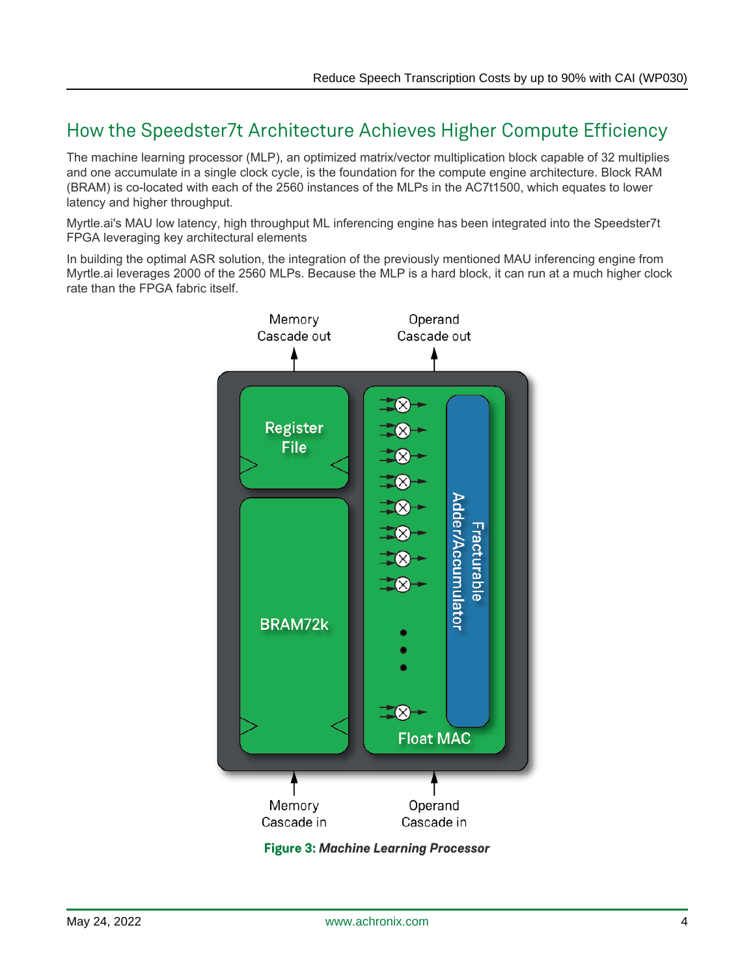## How the Speedster7t Architecture Achieves Higher Compute Efficiency

The machine learning processor (MLP), an optimized matrix/vector multiplication block capable of 32 multiplies and one accumulate in a single clock cycle, is the foundation for the compute engine architecture. Block RAM (BRAM) is co-located with each of the 2560 instances of the MLPs in the AC7t1500, which equates to lower latency and higher throughput.

Myrtle.ai's MAU low latency, high throughput ML inferencing engine has been integrated into the Speedster7t FPGA leveraging key architectural elements

In building the optimal ASR solution, the integration of the previously mentioned MAU inferencing engine from Myrtle.ai leverages 2000 of the 2560 MLPs. Because the MLP is a hard block, it can run at a much higher clock rate than the FPGA fabric itself.



**Figure 3:** *Machine Learning Processor*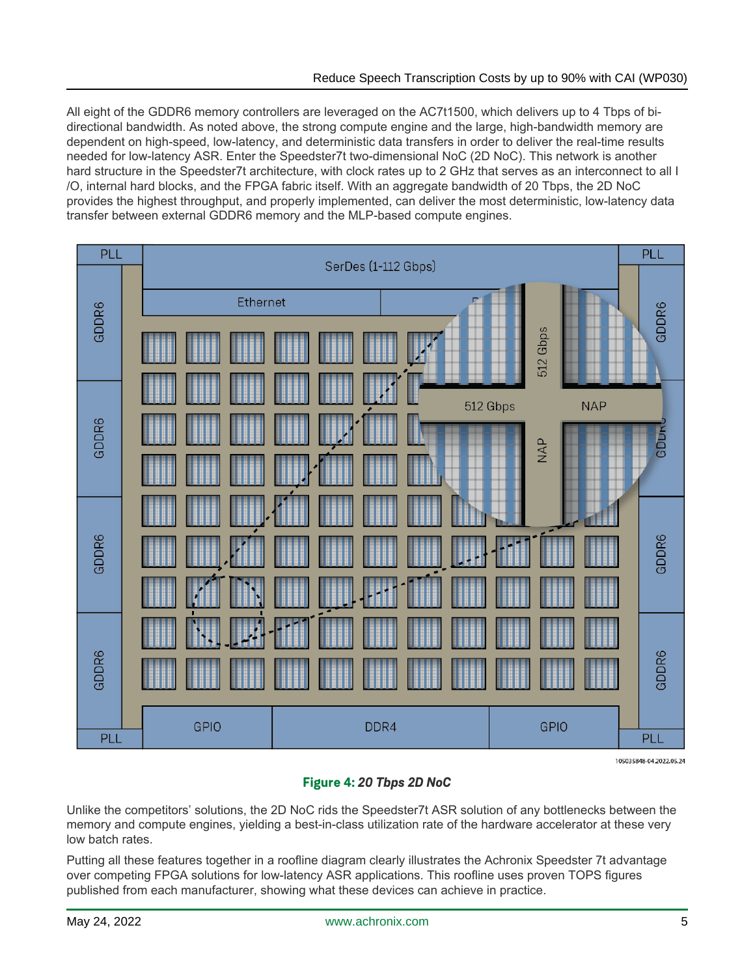All eight of the GDDR6 memory controllers are leveraged on the AC7t1500, which delivers up to 4 Tbps of bidirectional bandwidth. As noted above, the strong compute engine and the large, high-bandwidth memory are dependent on high-speed, low-latency, and deterministic data transfers in order to deliver the real-time results needed for low-latency ASR. Enter the Speedster7t two-dimensional NoC (2D NoC). This network is another hard structure in the Speedster7t architecture, with clock rates up to 2 GHz that serves as an interconnect to all I /O, internal hard blocks, and the FPGA fabric itself. With an aggregate bandwidth of 20 Tbps, the 2D NoC provides the highest throughput, and properly implemented, can deliver the most deterministic, low-latency data transfer between external GDDR6 memory and the MLP-based compute engines.



105035848-04.2022.05.24

#### **Figure 4:** *20 Tbps 2D NoC*

Unlike the competitors' solutions, the 2D NoC rids the Speedster7t ASR solution of any bottlenecks between the memory and compute engines, yielding a best-in-class utilization rate of the hardware accelerator at these very low batch rates.

Putting all these features together in a roofline diagram clearly illustrates the Achronix Speedster 7t advantage over competing FPGA solutions for low-latency ASR applications. This roofline uses proven TOPS figures published from each manufacturer, showing what these devices can achieve in practice.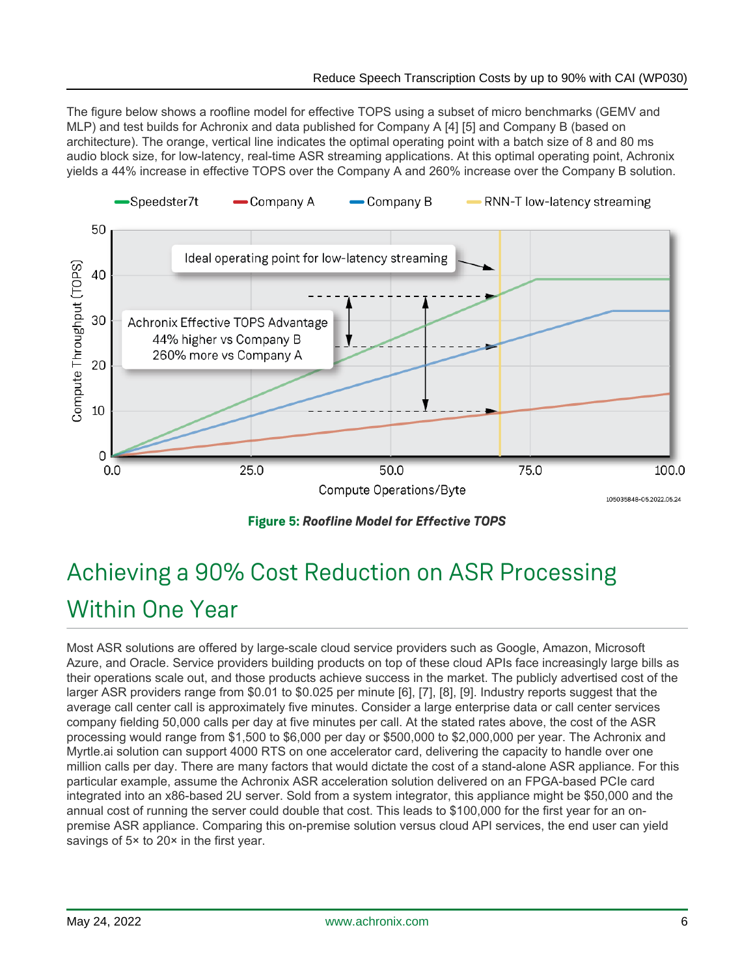The figure below shows a roofline model for effective TOPS using a subset of micro benchmarks (GEMV and MLP) and test builds for Achronix and data published for Company A [4] [5] and Company B (based on architecture). The orange, vertical line indicates the optimal operating point with a batch size of 8 and 80 ms audio block size, for low-latency, real-time ASR streaming applications. At this optimal operating point, Achronix yields a 44% increase in effective TOPS over the Company A and 260% increase over the Company B solution.



**Figure 5:** *Roofline Model for Effective TOPS*

# Achieving a 90% Cost Reduction on ASR Processing Within One Year

Most ASR solutions are offered by large-scale cloud service providers such as Google, Amazon, Microsoft Azure, and Oracle. Service providers building products on top of these cloud APIs face increasingly large bills as their operations scale out, and those products achieve success in the market. The publicly advertised cost of the larger ASR providers range from \$0.01 to \$0.025 per minute [6], [7], [8], [9]. Industry reports suggest that the average call center call is approximately five minutes. Consider a large enterprise data or call center services company fielding 50,000 calls per day at five minutes per call. At the stated rates above, the cost of the ASR processing would range from \$1,500 to \$6,000 per day or \$500,000 to \$2,000,000 per year. The Achronix and Myrtle.ai solution can support 4000 RTS on one accelerator card, delivering the capacity to handle over one million calls per day. There are many factors that would dictate the cost of a stand-alone ASR appliance. For this particular example, assume the Achronix ASR acceleration solution delivered on an FPGA-based PCIe card integrated into an x86-based 2U server. Sold from a system integrator, this appliance might be \$50,000 and the annual cost of running the server could double that cost. This leads to \$100,000 for the first year for an onpremise ASR appliance. Comparing this on-premise solution versus cloud API services, the end user can yield savings of 5× to 20× in the first year.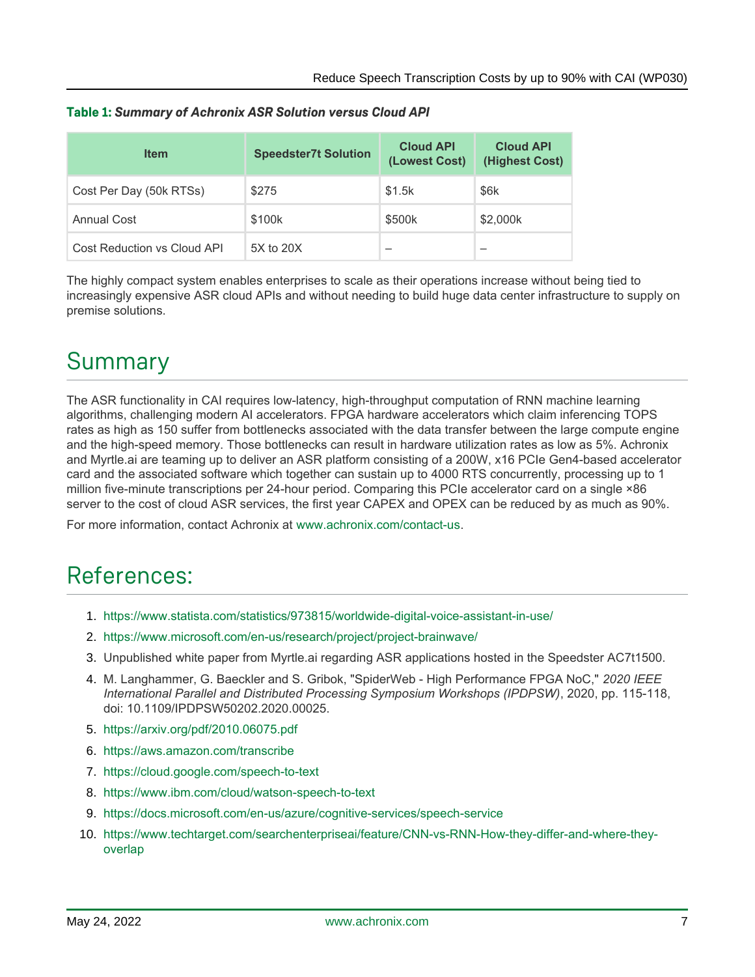| <b>Item</b>                 | <b>Speedster7t Solution</b> | <b>Cloud API</b><br>(Lowest Cost) | <b>Cloud API</b><br>(Highest Cost) |
|-----------------------------|-----------------------------|-----------------------------------|------------------------------------|
| Cost Per Day (50k RTSs)     | \$275                       | \$1.5k                            | \$6k                               |
| <b>Annual Cost</b>          | \$100k                      | \$500k                            | \$2,000k                           |
| Cost Reduction vs Cloud API | 5X to 20X                   |                                   |                                    |

#### **Table 1:** *Summary of Achronix ASR Solution versus Cloud API*

The highly compact system enables enterprises to scale as their operations increase without being tied to increasingly expensive ASR cloud APIs and without needing to build huge data center infrastructure to supply on premise solutions.

# Summary

The ASR functionality in CAI requires low-latency, high-throughput computation of RNN machine learning algorithms, challenging modern AI accelerators. FPGA hardware accelerators which claim inferencing TOPS rates as high as 150 suffer from bottlenecks associated with the data transfer between the large compute engine and the high-speed memory. Those bottlenecks can result in hardware utilization rates as low as 5%. Achronix and Myrtle.ai are teaming up to deliver an ASR platform consisting of a 200W, x16 PCIe Gen4-based accelerator card and the associated software which together can sustain up to 4000 RTS concurrently, processing up to 1 million five-minute transcriptions per 24-hour period. Comparing this PCIe accelerator card on a single ×86 server to the cost of cloud ASR services, the first year CAPEX and OPEX can be reduced by as much as 90%.

For more information, contact Achronix at [www.achronix.com/contact-us](https://www.achronix.com/contact-us).

## References:

- 1. <https://www.statista.com/statistics/973815/worldwide-digital-voice-assistant-in-use/>
- 2. <https://www.microsoft.com/en-us/research/project/project-brainwave/>
- 3. Unpublished white paper from Myrtle.ai regarding ASR applications hosted in the Speedster AC7t1500.
- 4. M. Langhammer, G. Baeckler and S. Gribok, "SpiderWeb High Performance FPGA NoC," *2020 IEEE International Parallel and Distributed Processing Symposium Workshops (IPDPSW)*, 2020, pp. 115-118, doi: 10.1109/IPDPSW50202.2020.00025.
- 5. <https://arxiv.org/pdf/2010.06075.pdf>
- 6. <https://aws.amazon.com/transcribe>
- 7. <https://cloud.google.com/speech-to-text>
- 8. <https://www.ibm.com/cloud/watson-speech-to-text>
- 9. <https://docs.microsoft.com/en-us/azure/cognitive-services/speech-service>
- 10. [https://www.techtarget.com/searchenterpriseai/feature/CNN-vs-RNN-How-they-differ-and-where-they](https://www.techtarget.com/searchenterpriseai/feature/CNN-vs-RNN-How-they-differ-and-where-they-overlap)[overlap](https://www.techtarget.com/searchenterpriseai/feature/CNN-vs-RNN-How-they-differ-and-where-they-overlap)